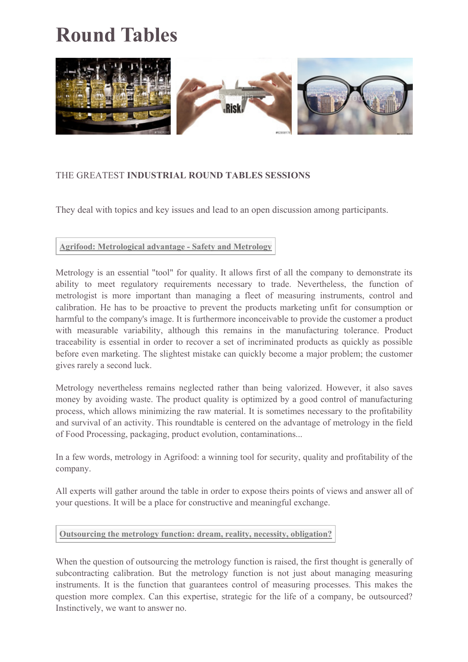# **Round Tables**



## THE GREATEST **INDUSTRIAL ROUND TABLES SESSIONS**

They deal with topics and key issues and lead to an open discussion among participants.

**Agrifood: Metrological advantage - Safety and Metrology**

Metrology is an essential "tool" for quality. It allows first of all the company to demonstrate its ability to meet regulatory requirements necessary to trade. Nevertheless, the function of metrologist is more important than managing a fleet of measuring instruments, control and calibration. He has to be proactive to prevent the products marketing unfit for consumption or harmful to the company's image. It is furthermore inconceivable to provide the customer a product with measurable variability, although this remains in the manufacturing tolerance. Product traceability is essential in order to recover a set of incriminated products as quickly as possible before even marketing. The slightest mistake can quickly become a major problem; the customer gives rarely a second luck.

Metrology nevertheless remains neglected rather than being valorized. However, it also saves money by avoiding waste. The product quality is optimized by a good control of manufacturing process, which allows minimizing the raw material. It is sometimes necessary to the profitability and survival of an activity. This roundtable is centered on the advantage of metrology in the field of Food Processing, packaging, product evolution, contaminations...

In a few words, metrology in Agrifood: a winning tool for security, quality and profitability of the company.

All experts will gather around the table in order to expose theirs points of views and answer all of your questions. It will be a place for constructive and meaningful exchange.

## **Outsourcing the metrology function: dream, reality, necessity, obligation?**

When the question of outsourcing the metrology function is raised, the first thought is generally of subcontracting calibration. But the metrology function is not just about managing measuring instruments. It is the function that guarantees control of measuring processes. This makes the question more complex. Can this expertise, strategic for the life of a company, be outsourced? Instinctively, we want to answer no.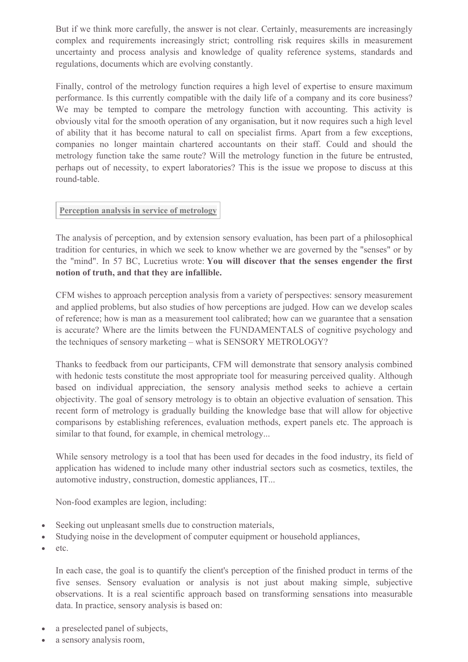But if we think more carefully, the answer is not clear. Certainly, measurements are increasingly complex and requirements increasingly strict; controlling risk requires skills in measurement uncertainty and process analysis and knowledge of quality reference systems, standards and regulations, documents which are evolving constantly.

Finally, control of the metrology function requires a high level of expertise to ensure maximum performance. Is this currently compatible with the daily life of a company and its core business? We may be tempted to compare the metrology function with accounting. This activity is obviously vital for the smooth operation of any organisation, but it now requires such a high level of ability that it has become natural to call on specialist firms. Apart from a few exceptions, companies no longer maintain chartered accountants on their staff. Could and should the metrology function take the same route? Will the metrology function in the future be entrusted, perhaps out of necessity, to expert laboratories? This is the issue we propose to discuss at this round-table.

## **Perception analysis in service of metrology**

The analysis of perception, and by extension sensory evaluation, has been part of a philosophical tradition for centuries, in which we seek to know whether we are governed by the "senses" or by the "mind". In 57 BC, Lucretius wrote: **You will discover that the senses engender the first notion of truth, and that they are infallible.**

CFM wishes to approach perception analysis from a variety of perspectives: sensory measurement and applied problems, but also studies of how perceptions are judged. How can we develop scales of reference; how is man as a measurement tool calibrated; how can we guarantee that a sensation is accurate? Where are the limits between the FUNDAMENTALS of cognitive psychology and the techniques of sensory marketing – what is SENSORY METROLOGY?

Thanks to feedback from our participants, CFM will demonstrate that sensory analysis combined with hedonic tests constitute the most appropriate tool for measuring perceived quality. Although based on individual appreciation, the sensory analysis method seeks to achieve a certain objectivity. The goal of sensory metrology is to obtain an objective evaluation of sensation. This recent form of metrology is gradually building the knowledge base that will allow for objective comparisons by establishing references, evaluation methods, expert panels etc. The approach is similar to that found, for example, in chemical metrology...

While sensory metrology is a tool that has been used for decades in the food industry, its field of application has widened to include many other industrial sectors such as cosmetics, textiles, the automotive industry, construction, domestic appliances, IT...

Non-food examples are legion, including:

- Seeking out unpleasant smells due to construction materials,
- Studying noise in the development of computer equipment or household appliances,
- etc.

In each case, the goal is to quantify the client's perception of the finished product in terms of the five senses. Sensory evaluation or analysis is not just about making simple, subjective observations. It is a real scientific approach based on transforming sensations into measurable data. In practice, sensory analysis is based on:

- a preselected panel of subjects,
- a sensory analysis room,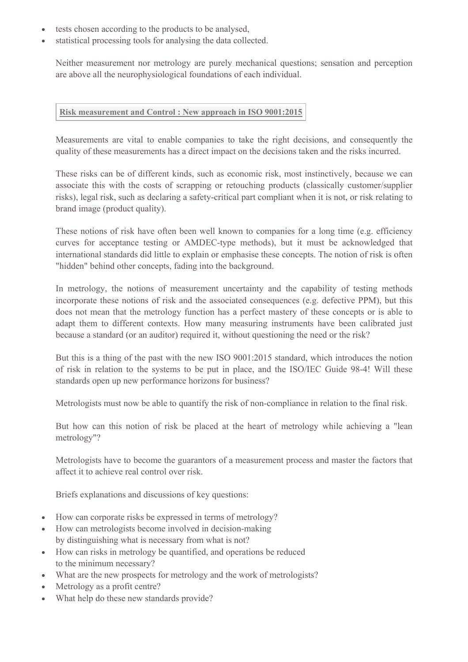- tests chosen according to the products to be analysed,
- statistical processing tools for analysing the data collected.

Neither measurement nor metrology are purely mechanical questions; sensation and perception are above all the neurophysiological foundations of each individual.

#### **Risk measurement and Control : New approach in ISO 9001:2015**

Measurements are vital to enable companies to take the right decisions, and consequently the quality of these measurements has a direct impact on the decisions taken and the risks incurred.

These risks can be of different kinds, such as economic risk, most instinctively, because we can associate this with the costs of scrapping or retouching products (classically customer/supplier risks), legal risk, such as declaring a safety-critical part compliant when it is not, or risk relating to brand image (product quality).

These notions of risk have often been well known to companies for a long time (e.g. efficiency curves for acceptance testing or AMDEC-type methods), but it must be acknowledged that international standards did little to explain or emphasise these concepts. The notion of risk is often "hidden" behind other concepts, fading into the background.

In metrology, the notions of measurement uncertainty and the capability of testing methods incorporate these notions of risk and the associated consequences (e.g. defective PPM), but this does not mean that the metrology function has a perfect mastery of these concepts or is able to adapt them to different contexts. How many measuring instruments have been calibrated just because a standard (or an auditor) required it, without questioning the need or the risk?

But this is a thing of the past with the new ISO 9001:2015 standard, which introduces the notion of risk in relation to the systems to be put in place, and the ISO/IEC Guide 98-4! Will these standards open up new performance horizons for business?

Metrologists must now be able to quantify the risk of non-compliance in relation to the final risk.

But how can this notion of risk be placed at the heart of metrology while achieving a "lean metrology"?

Metrologists have to become the guarantors of a measurement process and master the factors that affect it to achieve real control over risk.

Briefs explanations and discussions of key questions:

- How can corporate risks be expressed in terms of metrology?
- How can metrologists become involved in decision-making by distinguishing what is necessary from what is not?
- How can risks in metrology be quantified, and operations be reduced to the minimum necessary?
- What are the new prospects for metrology and the work of metrologists?
- Metrology as a profit centre?
- What help do these new standards provide?